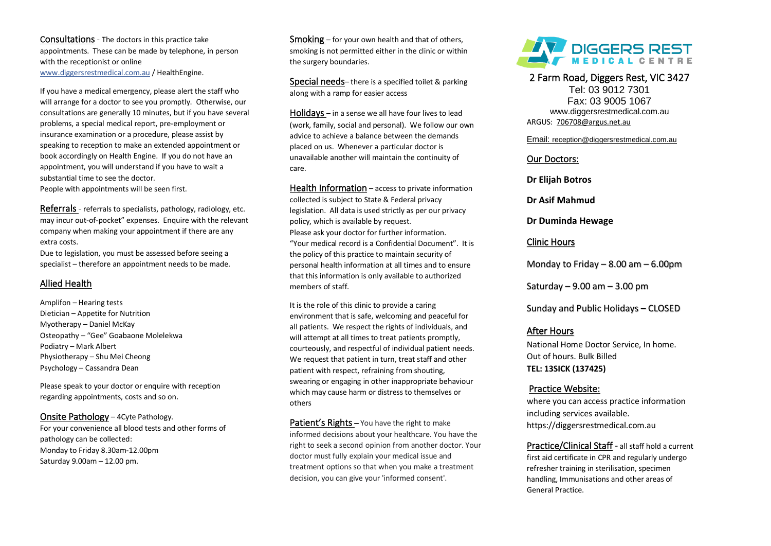Consultations - The doctors in this practice take appointments. These can be made by telephone, in person with the receptionist or online [www.diggersrestmedical.com.au](http://www.diggersrestmedical.com.au/) / HealthEngine.

If you have a medical emergency, please alert the staff who will arrange for a doctor to see you promptly. Otherwise, our consultations are generally 10 minutes, but if you have several problems, a special medical report, pre-employment or insurance examination or a procedure, please assist by speaking to reception to make an extended appointment or book accordingly on Health Engine. If you do not have an appointment, you will understand if you have to wait a substantial time to see the doctor.

People with appointments will be seen first.

Referrals - referrals to specialists, pathology, radiology, etc. may incur out-of-pocket" expenses. Fnquire with the relevant company when making your appointment if there are any extra costs.

Due to legislation, you must be assessed before seeing a specialist – therefore an appointment needs to be made.

### Allied Health

Amplifon – Hearing tests Dietician – Appetite for Nutrition Myotherapy – Daniel McKay Osteopathy – "Gee" Goabaone Molelekwa Podiatry – Mark Albert Physiotherapy – Shu Mei Cheong Psychology – Cassandra Dean

Please speak to your doctor or enquire with reception regarding appointments, costs and so on.

Onsite Pathology – 4Cyte Pathology. For your convenience all blood tests and other forms of pathology can be collected: Monday to Friday 8.30am-12.00pm Saturday 9.00am – 12.00 pm.

Smoking – for your own health and that of others, smoking is not permitted either in the clinic or within the surgery boundaries.

Special needs– there is a specified toilet & parking along with a ramp for easier access

Holidays – in a sense we all have four lives to lead (work, family, social and personal). We follow our own advice to achieve a balance between the demands placed on us. Whenever a particular doctor is unavailable another will maintain the continuity of care.

Health Information – access to private information collected is subject to State & Federal privacy legislation. All data is used strictly as per our privacy policy, which is available by request. Please ask your doctor for further information. "Your medical record is a Confidential Document". It is the policy of this practice to maintain security of personal health information at all times and to ensure that this information is only available to authorized members of staff.

It is the role of this clinic to provide a caring environment that is safe, welcoming and peaceful for all patients. We respect the rights of individuals, and will attempt at all times to treat patients promptly. courteously, and respectful of individual patient needs. We request that patient in turn, treat staff and other patient with respect, refraining from shouting, swearing or engaging in other inappropriate behaviour which may cause harm or distress to themselves or others

Patient's Rights – You have the right to make informed decisions about your healthcare. You have the right to seek a second opinion from another doctor. Your doctor must fully explain your medical issue and treatment options so that when you make a treatment decision, you can give your 'informed consent'.



2 Farm Road, Diggers Rest, VIC 3427 Tel: 03 9012 7301 Fax: 03 9005 1067 www.diggersrestmedical.com.au

ARGUS: [706708@argus.net.au](mailto:706708@argus.net.au)

Email: [reception@diggersrestmedical.com.au](mailto:reception@diggersrestmedical.com.au)

### Our Doctors:

**Dr Elijah Botros** 

**Dr Asif Mahmud**

**Dr Duminda Hewage**

### Clinic Hours

Monday to Friday – 8.00 am – 6.00pm

Saturday – 9.00 am – 3.00 pm

Sunday and Public Holidays – CLOSED

### After Hours

National Home Doctor Service, In home. Out of hours. Bulk Billed **TEL: 13SICK (137425)**

### Practice Website:

where you can access practice information including services available. https://diggersrestmedical.com.au

Practice/Clinical Staff - all staff hold a current first aid certificate in CPR and regularly undergo refresher training in sterilisation, specimen handling, Immunisations and other areas of General Practice.